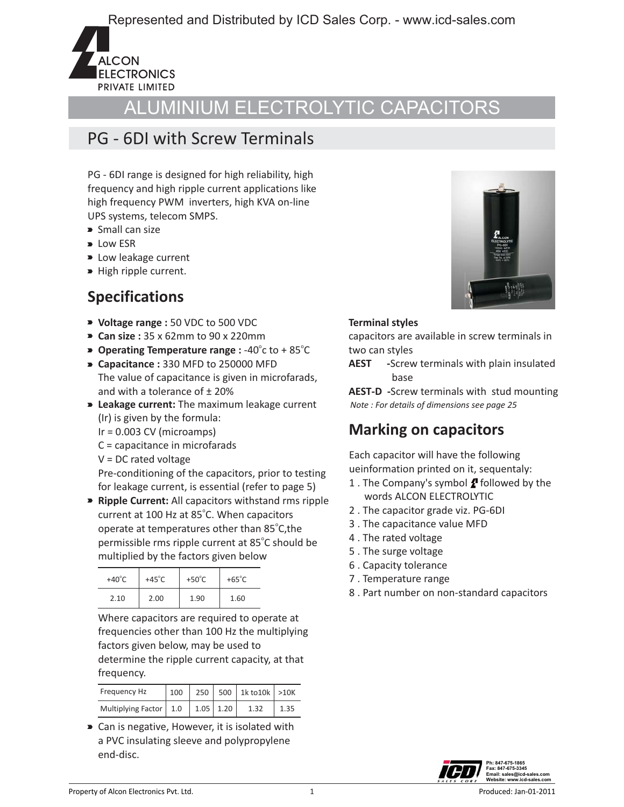Represented and Distributed by ICD Sales Corp. - www.icd-sales.com



## ALUMINIUM ELECTROLYTIC CAPACITORS

#### PG - 6DI with Screw Terminals

PG - 6DI range is designed for high reliability, high frequency and high ripple current applications like high frequency PWM inverters, high KVA on-line UPS systems, telecom SMPS.

- Small can size
- $\blacktriangleright$  Low ESR
- **D** Low leakage current
- High ripple current.

### **Specifications**

- **Voltage range :** 50 VDC to 500 VDC
- 
- **Can size :** 35 x 62mm to 90 x 220mm<br>**Depending Temperature range :** -40<sup>°</sup>c to +85<sup>°</sup>C
- $\triangleright$  **Capacitance :** 330 MFD to 250000 MFD The value of capacitance is given in microfarads, and with a tolerance of ± 20%
- **Leakage current:** The maximum leakage current (Ir) is given by the formula:
	- $Ir = 0.003$  CV (microamps)
	- C = capacitance in microfarads
	- V = DC rated voltage

Pre-conditioning of the capacitors, prior to testing for leakage current, is essential (refer to page 5)

**Ripple Current:** All capacitors withstand rms ripple current at 100 Hz at 85°C. When capacitors operate at temperatures other than 85°C, the permissible rms ripple current at 85°C should be multiplied by the factors given below

| $+40^{\circ}$ C | $+45^{\circ}$ C | +50 $^{\circ}$ C | $+65^{\circ}$ C |
|-----------------|-----------------|------------------|-----------------|
| 2.10            | 2.00            | 1.90             | 1.60            |

 Where capacitors are required to operate at frequencies other than 100 Hz the multiplying factors given below, may be used to determine the ripple current capacity, at that frequency.

| Frequency Hz             | 100 | 250  |      | $500$   1k to 10k   > 10K |  |
|--------------------------|-----|------|------|---------------------------|--|
| Multiplying Factor   1.0 |     | 1.05 | 1.20 |                           |  |

 Can is negative, However, it is isolated with a PVC insulating sleeve and polypropylene end-disc.



#### **Terminal styles**

capacitors are available in screw terminals in two can styles

**AEST -**Screw terminals with plain insulated base

**AEST-D -**Screw terminals with stud mounting  *Note : For details of dimensions see page 25*

#### **Marking on capacitors**

Each capacitor will have the following ueinformation printed on it, sequentaly:

- 1 . The Company's symbol  $f$  followed by the words ALCON ELECTROLYTIC
- 2 . The capacitor grade viz. PG-6DI
- 3 . The capacitance value MFD
- 4 . The rated voltage
- 5 . The surge voltage
- 6 . Capacity tolerance
- 7 . Temperature range
- 8 . Part number on non-standard capacitors

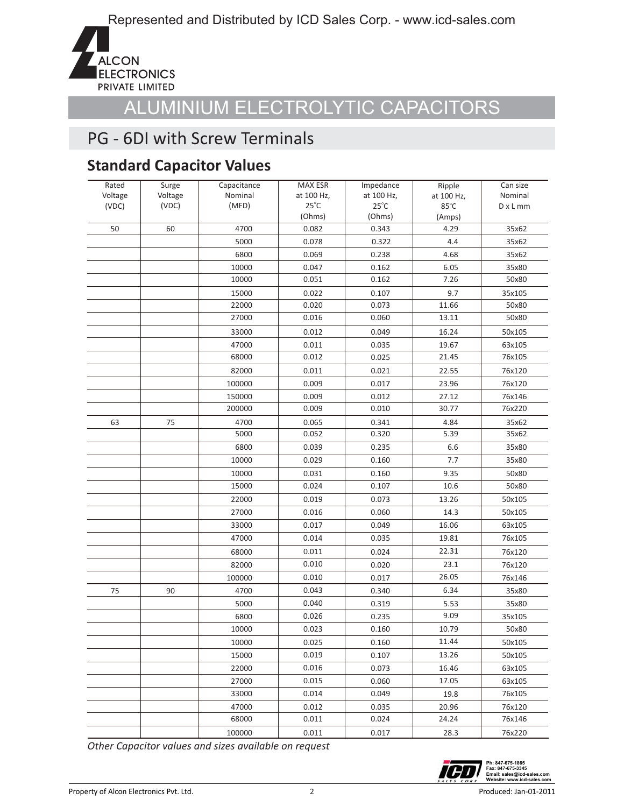

### PG - 6DI with Screw Terminals

### **Standard Capacitor Values**

| Rated   | Surge   | Capacitance    | <b>MAX ESR</b>               | Impedance                    | Ripple         | Can size        |
|---------|---------|----------------|------------------------------|------------------------------|----------------|-----------------|
| Voltage | Voltage | Nominal        | at 100 Hz,<br>$25^{\circ}$ C | at 100 Hz,<br>$25^{\circ}$ C | at 100 Hz,     | Nominal         |
| (VDC)   | (VDC)   | (MFD)          | (Ohms)                       | (Ohms)                       | 85°C           | $D \times L$ mm |
| 50      | 60      | 4700           | 0.082                        | 0.343                        | (Amps)<br>4.29 | 35x62           |
|         |         | 5000           | 0.078                        | 0.322                        | 4.4            |                 |
|         |         |                |                              |                              |                | 35x62           |
|         |         | 6800           | 0.069                        | 0.238                        | 4.68           | 35x62           |
|         |         | 10000<br>10000 | 0.047<br>0.051               | 0.162                        | 6.05<br>7.26   | 35x80           |
|         |         |                |                              | 0.162                        |                | 50x80           |
|         |         | 15000          | 0.022                        | 0.107                        | 9.7            | 35x105          |
|         |         | 22000          | 0.020                        | 0.073                        | 11.66          | 50x80           |
|         |         | 27000          | 0.016                        | 0.060                        | 13.11          | 50x80           |
|         |         | 33000          | 0.012                        | 0.049                        | 16.24          | 50x105          |
|         |         | 47000          | 0.011                        | 0.035                        | 19.67          | 63x105          |
|         |         | 68000          | 0.012                        | 0.025                        | 21.45          | 76x105          |
|         |         | 82000          | 0.011                        | 0.021                        | 22.55          | 76x120          |
|         |         | 100000         | 0.009                        | 0.017                        | 23.96          | 76x120          |
|         |         | 150000         | 0.009                        | 0.012                        | 27.12          | 76x146          |
|         |         | 200000         | 0.009                        | 0.010                        | 30.77          | 76x220          |
| 63      | 75      | 4700           | 0.065                        | 0.341                        | 4.84           | 35x62           |
|         |         | 5000           | 0.052                        | 0.320                        | 5.39           | 35x62           |
|         |         | 6800           | 0.039                        | 0.235                        | 6.6            | 35x80           |
|         |         | 10000          | 0.029                        | 0.160                        | 7.7            | 35x80           |
|         |         | 10000          | 0.031                        | 0.160                        | 9.35           | 50x80           |
|         |         | 15000          | 0.024                        | 0.107                        | 10.6           | 50x80           |
|         |         | 22000          | 0.019                        | 0.073                        | 13.26          | 50x105          |
|         |         | 27000          | 0.016                        | 0.060                        | 14.3           | 50x105          |
|         |         | 33000          | 0.017                        | 0.049                        | 16.06          | 63x105          |
|         |         | 47000          | 0.014                        | 0.035                        | 19.81          | 76x105          |
|         |         | 68000          | 0.011                        | 0.024                        | 22.31          | 76x120          |
|         |         | 82000          | 0.010                        | 0.020                        | 23.1           | 76x120          |
|         |         | 100000         | 0.010                        | 0.017                        | 26.05          | 76x146          |
| 75      | 90      | 4700           | 0.043                        | 0.340                        | 6.34           | 35x80           |
|         |         | 5000           | 0.040                        | 0.319                        | 5.53           | 35x80           |
|         |         | 6800           | 0.026                        | 0.235                        | 9.09           | 35x105          |
|         |         | 10000          | 0.023                        | 0.160                        | 10.79          | 50x80           |
|         |         | 10000          | 0.025                        | 0.160                        | 11.44          | 50x105          |
|         |         | 15000          | 0.019                        | 0.107                        | 13.26          | 50x105          |
|         |         | 22000          | 0.016                        | 0.073                        | 16.46          | 63x105          |
|         |         | 27000          | 0.015                        | 0.060                        | 17.05          | 63x105          |
|         |         | 33000          | 0.014                        | 0.049                        | 19.8           | 76x105          |
|         |         | 47000          | 0.012                        | 0.035                        | 20.96          | 76x120          |
|         |         | 68000          | 0.011                        | 0.024                        | 24.24          | 76x146          |
|         |         | 100000         | 0.011                        | 0.017                        | 28.3           | 76x220          |

*Other Capacitor values and sizes available on request*

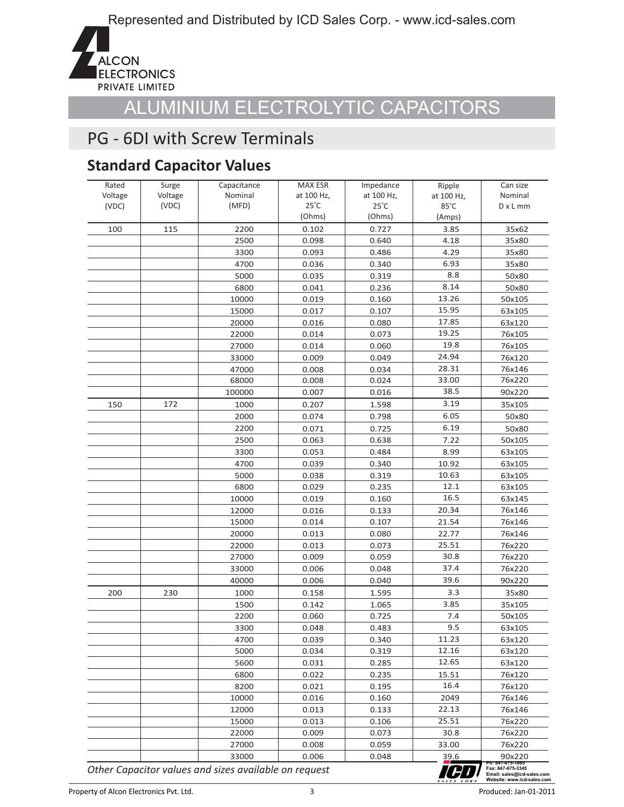

### PG - 6DI with Screw Terminals

### **Standard Capacitor Values**

| Rated            | Surge            | Capacitance      | MAX ESR                      | Impedance                    | Ripple             | Can size<br>Nominal |
|------------------|------------------|------------------|------------------------------|------------------------------|--------------------|---------------------|
| Voltage<br>(VDC) | Voltage<br>(VDC) | Nominal<br>(MFD) | at 100 Hz,<br>$25^{\circ}$ C | at 100 Hz,<br>$25^{\circ}$ C | at 100 Hz,<br>85°C | $D \times L$ mm     |
|                  |                  |                  | (Ohms)                       | (Ohms)                       | (Amps)             |                     |
| 100              | 115              | 2200             | 0.102                        | 0.727                        | 3.85               | 35x62               |
|                  |                  | 2500             | 0.098                        | 0.640                        | 4.18               | 35x80               |
|                  |                  | 3300             | 0.093                        | 0.486                        | 4.29               |                     |
|                  |                  |                  |                              |                              | 6.93               | 35x80               |
|                  |                  | 4700<br>5000     | 0.036                        | 0.340                        | 8.8                | 35x80               |
|                  |                  |                  | 0.035                        | 0.319                        | 8.14               | 50x80               |
|                  |                  | 6800             | 0.041                        | 0.236                        | 13.26              | 50x80               |
|                  |                  | 10000            | 0.019                        | 0.160                        | 15.95              | 50x105              |
|                  |                  | 15000            | 0.017                        | 0.107                        | 17.85              | 63x105              |
|                  |                  | 20000            | 0.016                        | 0.080                        | 19.25              | 63x120              |
|                  |                  | 22000            | 0.014                        | 0.073                        | 19.8               | 76x105              |
|                  |                  | 27000            | 0.014                        | 0.060                        | 24.94              | 76x105              |
|                  |                  | 33000            | 0.009                        | 0.049                        |                    | 76x120              |
|                  |                  | 47000            | 0.008                        | 0.034                        | 28.31              | 76x146              |
|                  |                  | 68000            | 0.008                        | 0.024                        | 33.00              | 76x220              |
|                  |                  | 100000           | 0.007                        | 0.016                        | 38.5               | 90x220              |
| 150              | 172              | 1000             | 0.207                        | 1.598                        | 3.19               | 35x105              |
|                  |                  | 2000             | 0.074                        | 0.798                        | 6.05               | 50x80               |
|                  |                  | 2200             | 0.071                        | 0.725                        | 6.19               | 50x80               |
|                  |                  | 2500             | 0.063                        | 0.638                        | 7.22               | 50x105              |
|                  |                  | 3300             | 0.053                        | 0.484                        | 8.99               | 63x105              |
|                  |                  | 4700             | 0.039                        | 0.340                        | 10.92              | 63x105              |
|                  |                  | 5000             | 0.038                        | 0.319                        | 10.63              | 63x105              |
|                  |                  | 6800             | 0.029                        | 0.235                        | 12.1               | 63x105              |
|                  |                  | 10000            | 0.019                        | 0.160                        | 16.5               | 63x145              |
|                  |                  | 12000            | 0.016                        | 0.133                        | 20.34              | 76x146              |
|                  |                  | 15000            | 0.014                        | 0.107                        | 21.54              | 76x146              |
|                  |                  | 20000            | 0.013                        | 0.080                        | 22.77              | 76x146              |
|                  |                  | 22000            | 0.013                        | 0.073                        | 25.51              | 76x220              |
|                  |                  | 27000            | 0.009                        | 0.059                        | 30.8               | 76x220              |
|                  |                  | 33000            | 0.006                        | 0.048                        | 37.4               | 76x220              |
|                  |                  | 40000            | 0.006                        | 0.040                        | 39.6               | 90x220              |
| 200              | 230              | 1000             | 0.158                        | 1.595                        | 3.3                | 35x80               |
|                  |                  | 1500             | 0.142                        | 1.065                        | 3.85               | 35x105              |
|                  |                  | 2200             | 0.060                        | 0.725                        | 7.4                | 50x105              |
|                  |                  | 3300             | 0.048                        | 0.483                        | 9.5                | 63x105              |
|                  |                  | 4700             | 0.039                        | 0.340                        | 11.23              | 63x120              |
|                  |                  | 5000             | 0.034                        | 0.319                        | 12.16              | 63x120              |
|                  |                  | 5600             | 0.031                        | 0.285                        | 12.65              | 63x120              |
|                  |                  | 6800             | 0.022                        | 0.235                        | 15.51              | 76x120              |
|                  |                  | 8200             | 0.021                        | 0.195                        | 16.4               | 76x120              |
|                  |                  | 10000            | 0.016                        | 0.160                        | 2049               | 76x146              |
|                  |                  | 12000            | 0.013                        | 0.133                        | 22.13              | 76x146              |
|                  |                  | 15000            | 0.013                        | 0.106                        | 25.51              | 76x220              |
|                  |                  | 22000            | 0.009                        | 0.073                        | 30.8               | 76x220              |
|                  |                  | 27000            | 0.008                        | 0.059                        | 33.00              | 76x220              |
|                  |                  | 33000            | 0.006                        | 0.048                        | 39.6               | 90x220              |
|                  |                  |                  |                              |                              |                    | Ph: 847-675-1865    |

*Other Capacitor values and sizes available on request*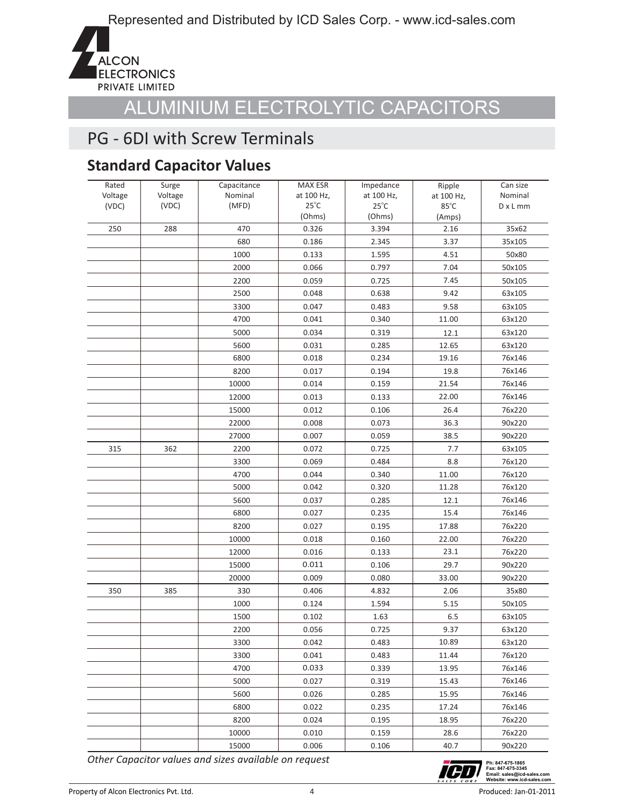

### PG - 6DI with Screw Terminals

### **Standard Capacitor Values**

| Rated            | Surge            | Capacitance<br>Nominal | <b>MAX ESR</b>               | Impedance                    | Ripple             | Can size<br>Nominal |
|------------------|------------------|------------------------|------------------------------|------------------------------|--------------------|---------------------|
| Voltage<br>(VDC) | Voltage<br>(VDC) | (MFD)                  | at 100 Hz,<br>$25^{\circ}$ C | at 100 Hz,<br>$25^{\circ}$ C | at 100 Hz,<br>85°C | $D \times L$ mm     |
|                  |                  |                        | (Ohms)                       | (Ohms)                       | (Amps)             |                     |
| 250              | 288              | 470                    | 0.326                        | 3.394                        | 2.16               | 35x62               |
|                  |                  | 680                    | 0.186                        | 2.345                        | 3.37               | 35x105              |
|                  |                  | 1000                   | 0.133                        | 1.595                        | 4.51               | 50x80               |
|                  |                  | 2000                   | 0.066                        | 0.797                        | 7.04               | 50x105              |
|                  |                  | 2200                   | 0.059                        | 0.725                        | 7.45               | 50x105              |
|                  |                  | 2500                   | 0.048                        | 0.638                        | 9.42               | 63x105              |
|                  |                  | 3300                   | 0.047                        | 0.483                        | 9.58               | 63x105              |
|                  |                  | 4700                   | 0.041                        | 0.340                        | 11.00              | 63x120              |
|                  |                  | 5000                   | 0.034                        | 0.319                        |                    |                     |
|                  |                  | 5600                   | 0.031                        | 0.285                        | 12.1               | 63x120              |
|                  |                  |                        |                              |                              | 12.65              | 63x120<br>76x146    |
|                  |                  | 6800                   | 0.018                        | 0.234                        | 19.16              |                     |
|                  |                  | 8200                   | 0.017                        | 0.194                        | 19.8               | 76x146              |
|                  |                  | 10000                  | 0.014                        | 0.159                        | 21.54              | 76x146              |
|                  |                  | 12000                  | 0.013                        | 0.133                        | 22.00              | 76x146              |
|                  |                  | 15000                  | 0.012                        | 0.106                        | 26.4               | 76x220              |
|                  |                  | 22000                  | 0.008                        | 0.073                        | 36.3               | 90x220              |
|                  |                  | 27000                  | 0.007                        | 0.059                        | 38.5               | 90x220              |
| 315              | 362              | 2200                   | 0.072                        | 0.725                        | 7.7                | 63x105              |
|                  |                  | 3300                   | 0.069                        | 0.484                        | 8.8                | 76x120              |
|                  |                  | 4700                   | 0.044                        | 0.340                        | 11.00              | 76x120              |
|                  |                  | 5000                   | 0.042                        | 0.320                        | 11.28              | 76x120              |
|                  |                  | 5600                   | 0.037                        | 0.285                        | 12.1               | 76x146              |
|                  |                  | 6800                   | 0.027                        | 0.235                        | 15.4               | 76x146              |
|                  |                  | 8200                   | 0.027                        | 0.195                        | 17.88              | 76x220              |
|                  |                  | 10000                  | 0.018                        | 0.160                        | 22.00              | 76x220              |
|                  |                  | 12000                  | 0.016                        | 0.133                        | 23.1               | 76x220              |
|                  |                  | 15000                  | 0.011                        | 0.106                        | 29.7               | 90x220              |
|                  |                  | 20000                  | 0.009                        | 0.080                        | 33.00              | 90x220              |
| 350              | 385              | 330                    | 0.406                        | 4.832                        | 2.06               | 35x80               |
|                  |                  | 1000                   | 0.124                        | 1.594                        | 5.15               | 50x105              |
|                  |                  | 1500                   | 0.102                        | 1.63                         | 6.5                | 63x105              |
|                  |                  | 2200                   | 0.056                        | 0.725                        | 9.37               | 63x120              |
|                  |                  | 3300                   | 0.042                        | 0.483                        | 10.89              | 63x120              |
|                  |                  | 3300                   | 0.041                        | 0.483                        | 11.44              | 76x120              |
|                  |                  | 4700                   | 0.033                        | 0.339                        | 13.95              | 76x146              |
|                  |                  | 5000                   | 0.027                        | 0.319                        | 15.43              | 76x146              |
|                  |                  | 5600                   | 0.026                        | 0.285                        | 15.95              | 76x146              |
|                  |                  | 6800                   | 0.022                        | 0.235                        | 17.24              | 76x146              |
|                  |                  | 8200                   | 0.024                        | 0.195                        | 18.95              | 76x220              |
|                  |                  | 10000                  | 0.010                        | 0.159                        | 28.6               | 76x220              |
|                  |                  | 15000                  | 0.006                        | 0.106                        | 40.7               | 90x220              |

*Other Capacitor values and sizes available on request*

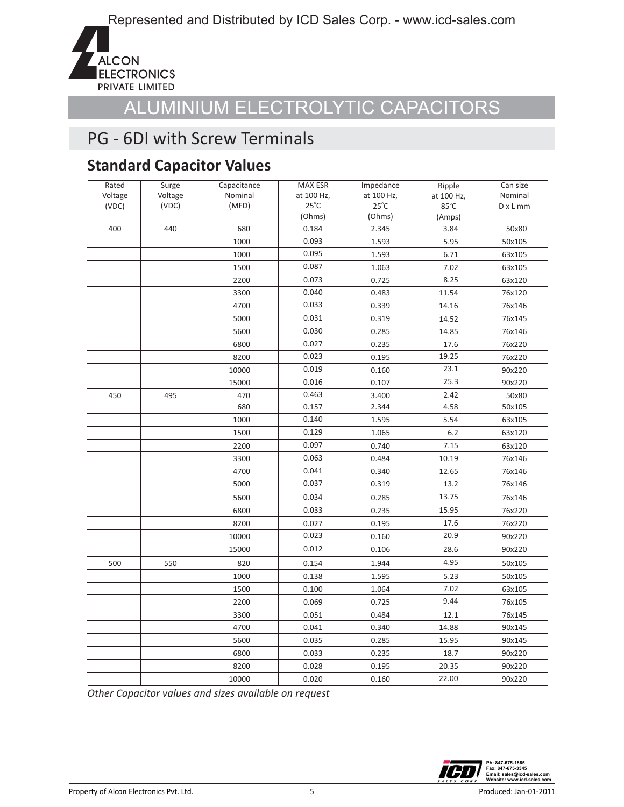

### PG - 6DI with Screw Terminals

### **Standard Capacitor Values**

| Rated   | Surge   | Capacitance | MAX ESR        | Impedance      | Ripple         | Can size        |
|---------|---------|-------------|----------------|----------------|----------------|-----------------|
| Voltage | Voltage | Nominal     | at 100 Hz,     | at 100 Hz,     | at 100 Hz,     | Nominal         |
| (VDC)   | (VDC)   | (MFD)       | $25^{\circ}$ C | $25^{\circ}$ C | $85^{\circ}$ C | $D \times L$ mm |
|         |         |             | (Ohms)         | (Ohms)         | (Amps)         |                 |
| 400     | 440     | 680         | 0.184          | 2.345          | 3.84           | 50x80           |
|         |         | 1000        | 0.093          | 1.593          | 5.95           | 50x105          |
|         |         | 1000        | 0.095          | 1.593          | 6.71           | 63x105          |
|         |         | 1500        | 0.087          | 1.063          | 7.02           | 63x105          |
|         |         | 2200        | 0.073          | 0.725          | 8.25           | 63x120          |
|         |         | 3300        | 0.040          | 0.483          | 11.54          | 76x120          |
|         |         | 4700        | 0.033          | 0.339          | 14.16          | 76x146          |
|         |         | 5000        | 0.031          | 0.319          | 14.52          | 76x145          |
|         |         | 5600        | 0.030          | 0.285          | 14.85          | 76x146          |
|         |         | 6800        | 0.027          | 0.235          | 17.6           | 76x220          |
|         |         | 8200        | 0.023          | 0.195          | 19.25          | 76x220          |
|         |         | 10000       | 0.019          | 0.160          | 23.1           | 90x220          |
|         |         | 15000       | 0.016          | 0.107          | 25.3           | 90x220          |
| 450     | 495     | 470         | 0.463          | 3.400          | 2.42           | 50x80           |
|         |         | 680         | 0.157          | 2.344          | 4.58           | 50x105          |
|         |         | 1000        | 0.140          | 1.595          | 5.54           | 63x105          |
|         |         | 1500        | 0.129          | 1.065          | $6.2$          | 63x120          |
|         |         | 2200        | 0.097          | 0.740          | 7.15           | 63x120          |
|         |         | 3300        | 0.063          | 0.484          | 10.19          | 76x146          |
|         |         | 4700        | 0.041          | 0.340          | 12.65          | 76x146          |
|         |         | 5000        | 0.037          | 0.319          | 13.2           | 76x146          |
|         |         | 5600        | 0.034          | 0.285          | 13.75          | 76x146          |
|         |         | 6800        | 0.033          | 0.235          | 15.95          | 76x220          |
|         |         | 8200        | 0.027          | 0.195          | 17.6           | 76x220          |
|         |         | 10000       | 0.023          | 0.160          | 20.9           | 90x220          |
|         |         | 15000       | 0.012          | 0.106          | 28.6           | 90x220          |
| 500     | 550     | 820         | 0.154          | 1.944          | 4.95           | 50x105          |
|         |         | 1000        | 0.138          | 1.595          | 5.23           | 50x105          |
|         |         | 1500        | 0.100          | 1.064          | 7.02           | 63x105          |
|         |         | 2200        | 0.069          | 0.725          | 9.44           | 76x105          |
|         |         | 3300        | 0.051          | 0.484          | 12.1           | 76x145          |
|         |         | 4700        | 0.041          | 0.340          | 14.88          | 90x145          |
|         |         | 5600        | 0.035          | 0.285          | 15.95          | 90x145          |
|         |         | 6800        | 0.033          | 0.235          | 18.7           | 90x220          |
|         |         | 8200        | 0.028          | 0.195          | 20.35          | 90x220          |
|         |         | 10000       | 0.020          | 0.160          | 22.00          | 90x220          |

*Other Capacitor values and sizes available on request*

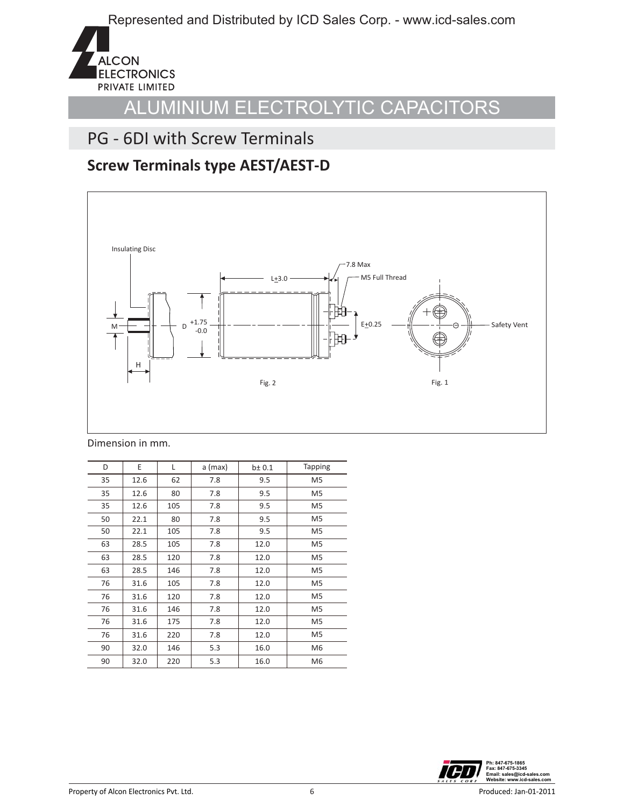

### PG - 6DI with Screw Terminals

#### **Screw Terminals type AEST/AEST-D**



Dimension in mm.

| D  | E    | L   | a (max) | $b \pm 0.1$ | <b>Tapping</b> |
|----|------|-----|---------|-------------|----------------|
| 35 | 12.6 | 62  | 7.8     | 9.5         | M <sub>5</sub> |
| 35 | 12.6 | 80  | 7.8     | 9.5         | M <sub>5</sub> |
| 35 | 12.6 | 105 | 7.8     | 9.5         | M <sub>5</sub> |
| 50 | 22.1 | 80  | 7.8     | 9.5         | M <sub>5</sub> |
| 50 | 22.1 | 105 | 7.8     | 9.5         | M <sub>5</sub> |
| 63 | 28.5 | 105 | 7.8     | 12.0        | M <sub>5</sub> |
| 63 | 28.5 | 120 | 7.8     | 12.0        | M <sub>5</sub> |
| 63 | 28.5 | 146 | 7.8     | 12.0        | M <sub>5</sub> |
| 76 | 31.6 | 105 | 7.8     | 12.0        | M5             |
| 76 | 31.6 | 120 | 7.8     | 12.0        | M <sub>5</sub> |
| 76 | 31.6 | 146 | 7.8     | 12.0        | M <sub>5</sub> |
| 76 | 31.6 | 175 | 7.8     | 12.0        | M <sub>5</sub> |
| 76 | 31.6 | 220 | 7.8     | 12.0        | M5             |
| 90 | 32.0 | 146 | 5.3     | 16.0        | M <sub>6</sub> |
| 90 | 32.0 | 220 | 5.3     | 16.0        | M <sub>6</sub> |

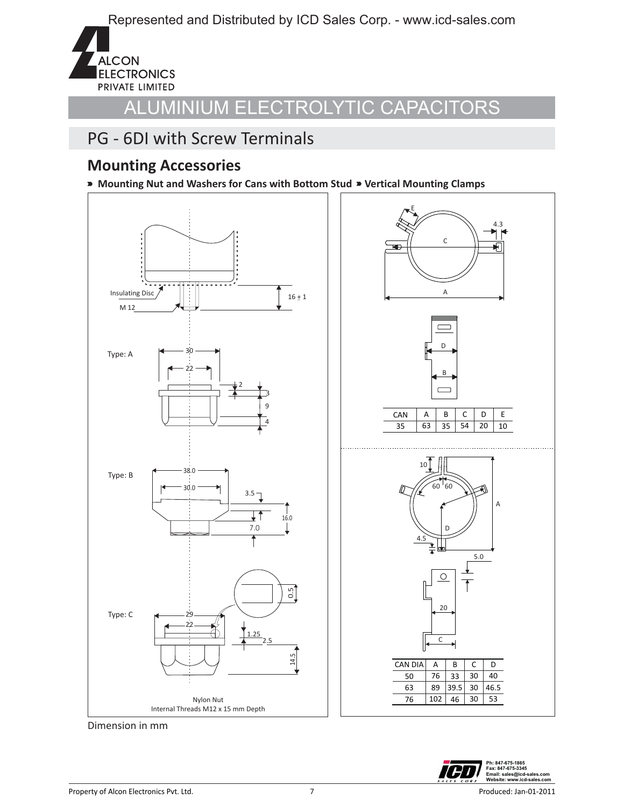

#### PG - 6DI with Screw Terminals

#### **Mounting Accessories**

**Mounting Nut and Washers for Cans with Bottom Stud Vertical Mounting Clamps**





Dimension in mm